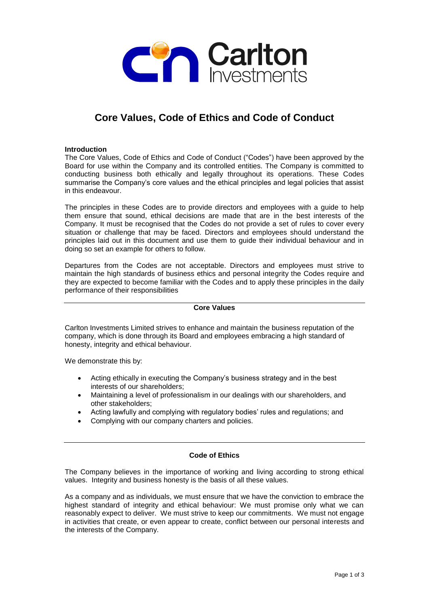

# **Core Values, Code of Ethics and Code of Conduct**

## **Introduction**

The Core Values, Code of Ethics and Code of Conduct ("Codes") have been approved by the Board for use within the Company and its controlled entities. The Company is committed to conducting business both ethically and legally throughout its operations. These Codes summarise the Company's core values and the ethical principles and legal policies that assist in this endeavour.

The principles in these Codes are to provide directors and employees with a guide to help them ensure that sound, ethical decisions are made that are in the best interests of the Company. It must be recognised that the Codes do not provide a set of rules to cover every situation or challenge that may be faced. Directors and employees should understand the principles laid out in this document and use them to guide their individual behaviour and in doing so set an example for others to follow.

Departures from the Codes are not acceptable. Directors and employees must strive to maintain the high standards of business ethics and personal integrity the Codes require and they are expected to become familiar with the Codes and to apply these principles in the daily performance of their responsibilities

#### **Core Values**

Carlton Investments Limited strives to enhance and maintain the business reputation of the company, which is done through its Board and employees embracing a high standard of honesty, integrity and ethical behaviour.

We demonstrate this by:

- Acting ethically in executing the Company's business strategy and in the best interests of our shareholders;
- Maintaining a level of professionalism in our dealings with our shareholders, and other stakeholders;
- Acting lawfully and complying with regulatory bodies' rules and regulations; and
- Complying with our company charters and policies.

# **Code of Ethics**

The Company believes in the importance of working and living according to strong ethical values. Integrity and business honesty is the basis of all these values.

As a company and as individuals, we must ensure that we have the conviction to embrace the highest standard of integrity and ethical behaviour: We must promise only what we can reasonably expect to deliver. We must strive to keep our commitments. We must not engage in activities that create, or even appear to create, conflict between our personal interests and the interests of the Company.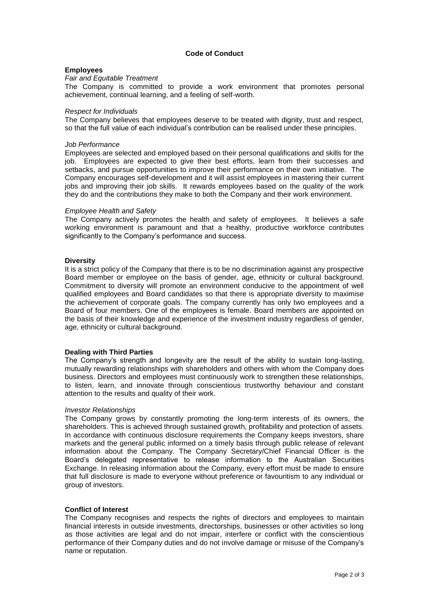#### **Code of Conduct**

#### **Employees**

#### *Fair and Equitable Treatment*

The Company is committed to provide a work environment that promotes personal achievement, continual learning, and a feeling of self-worth.

#### *Respect for Individuals*

The Company believes that employees deserve to be treated with dignity, trust and respect, so that the full value of each individual's contribution can be realised under these principles.

#### *Job Performance*

Employees are selected and employed based on their personal qualifications and skills for the job. Employees are expected to give their best efforts, learn from their successes and setbacks, and pursue opportunities to improve their performance on their own initiative. The Company encourages self-development and it will assist employees in mastering their current jobs and improving their job skills. It rewards employees based on the quality of the work they do and the contributions they make to both the Company and their work environment.

#### *Employee Health and Safety*

The Company actively promotes the health and safety of employees. It believes a safe working environment is paramount and that a healthy, productive workforce contributes significantly to the Company's performance and success.

#### **Diversity**

It is a strict policy of the Company that there is to be no discrimination against any prospective Board member or employee on the basis of gender, age, ethnicity or cultural background. Commitment to diversity will promote an environment conducive to the appointment of well qualified employees and Board candidates so that there is appropriate diversity to maximise the achievement of corporate goals. The company currently has only two employees and a Board of four members. One of the employees is female. Board members are appointed on the basis of their knowledge and experience of the investment industry regardless of gender, age, ethnicity or cultural background.

#### **Dealing with Third Parties**

The Company's strength and longevity are the result of the ability to sustain long-lasting, mutually rewarding relationships with shareholders and others with whom the Company does business. Directors and employees must continuously work to strengthen these relationships, to listen, learn, and innovate through conscientious trustworthy behaviour and constant attention to the results and quality of their work.

#### *Investor Relationships*

The Company grows by constantly promoting the long-term interests of its owners, the shareholders. This is achieved through sustained growth, profitability and protection of assets. In accordance with continuous disclosure requirements the Company keeps investors, share markets and the general public informed on a timely basis through public release of relevant information about the Company. The Company Secretary/Chief Financial Officer is the Board's delegated representative to release information to the Australian Securities Exchange. In releasing information about the Company, every effort must be made to ensure that full disclosure is made to everyone without preference or favouritism to any individual or group of investors.

#### **Conflict of Interest**

The Company recognises and respects the rights of directors and employees to maintain financial interests in outside investments, directorships, businesses or other activities so long as those activities are legal and do not impair, interfere or conflict with the conscientious performance of their Company duties and do not involve damage or misuse of the Company's name or reputation.